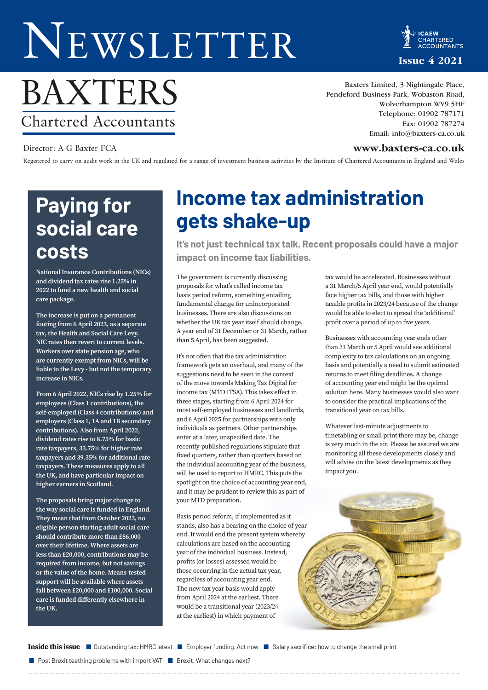# NEWSLETTER

CHARTERED **Issue 4 2021**

# BAXTERS Chartered Accountants

Baxters Limited, 3 Nightingale Place, Pendeford Business Park, Wobaston Road, Wolverhampton WV9 5HF Telephone: 01902 787171 Fax: 01902 787274 Email: info@baxters-ca.co.uk

### Director: A G Baxter FCA **www.baxters-ca.co.uk**

Registered to carry on audit work in the UK and regulated for a range of investment business activities by the Institute of Chartered Accountants in England and Wales

# **Paying for social care costs**

**National Insurance Contributions (NICs) and dividend tax rates rise 1.25% in 2022 to fund a new health and social care package.** 

**The increase is put on a permanent footing from 6 April 2023, as a separate tax, the Health and Social Care Levy. NIC rates then revert to current levels. Workers over state pension age, who are currently exempt from NICs, will be liable to the Levy - but not the temporary increase in NICs.**

**From 6 April 2022, NICs rise by 1.25% for employees (Class 1 contributions), the self-employed (Class 4 contributions) and employers (Class 1, 1A and 1B secondary contributions). Also from April 2022, dividend rates rise to 8.75% for basic rate taxpayers, 33.75% for higher rate taxpayers and 39.35% for additional rate taxpayers. These measures apply to all the UK, and have particular impact on higher earners in Scotland.** 

**The proposals bring major change to the way social care is funded in England. They mean that from October 2023, no eligible person starting adult social care should contribute more than £86,000 over their lifetime. Where assets are less than £20,000, contributions may be required from income, but not savings or the value of the home. Means-tested support will be available where assets fall between £20,000 and £100,000. Social care is funded differently elsewhere in the UK.**

# **Income tax administration gets shake-up**

**It's not just technical tax talk. Recent proposals could have a major impact on income tax liabilities.**

The government is currently discussing proposals for what's called income tax basis period reform, something entailing fundamental change for unincorporated businesses. There are also discussions on whether the UK tax year itself should change. A year end of 31 December or 31 March, rather than 5 April, has been suggested.

It's not often that the tax administration framework gets an overhaul, and many of the suggestions need to be seen in the context of the move towards Making Tax Digital for income tax (MTD ITSA). This takes effect in three stages, starting from 6 April 2024 for most self-employed businesses and landlords, and 6 April 2025 for partnerships with only individuals as partners. Other partnerships enter at a later, unspecified date. The recently-published regulations stipulate that fixed quarters, rather than quarters based on the individual accounting year of the business, will be used to report to HMRC. This puts the spotlight on the choice of accounting year end, and it may be prudent to review this as part of your MTD preparation.

Basis period reform, if implemented as it stands, also has a bearing on the choice of year end. It would end the present system whereby calculations are based on the accounting year of the individual business. Instead, profits (or losses) assessed would be those occurring in the actual tax year, regardless of accounting year end. The new tax year basis would apply from April 2024 at the earliest. There would be a transitional year (2023/24 at the earliest) in which payment of

tax would be accelerated. Businesses without a 31 March/5 April year end, would potentially face higher tax bills, and those with higher taxable profits in 2023/24 because of the change would be able to elect to spread the 'additional' profit over a period of up to five years.

Businesses with accounting year ends other than 31 March or 5 April would see additional complexity to tax calculations on an ongoing basis and potentially a need to submit estimated returns to meet filing deadlines. A change of accounting year end might be the optimal solution here. Many businesses would also want to consider the practical implications of the transitional year on tax bills.

Whatever last-minute adjustments to timetabling or small print there may be, change is very much in the air. Please be assured we are monitoring all these developments closely and will advise on the latest developments as they impact you.



Inside this issue **I**Outstanding tax: HMRC latest **II** Employer funding. Act now **II** Salary sacrifice: how to change the small print

**Post Brexit teething problems with import VAT Brexit. What changes next?**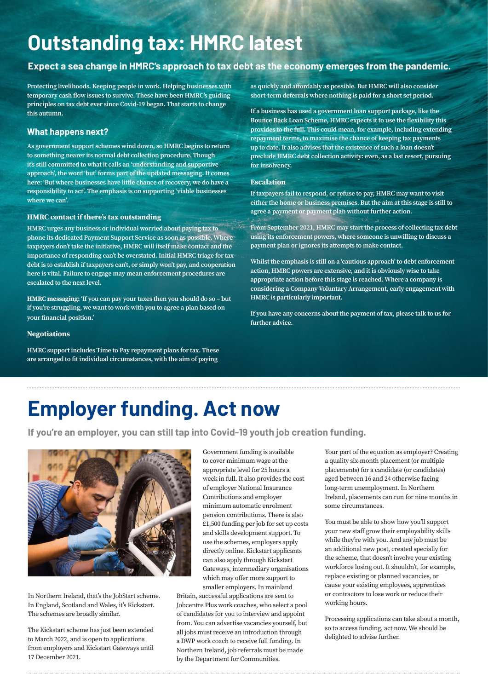# **Outstanding tax: HMRC latest**

### **Expect a sea change in HMRC's approach to tax debt as the economy emerges from the pandemic.**

**Protecting livelihoods. Keeping people in work. Helping businesses with temporary cash flow issues to survive. These have been HMRC's guiding principles on tax debt ever since Covid-19 began. That starts to change this autumn.** 

### **What happens next?**

**As government support schemes wind down, so HMRC begins to return to something nearer its normal debt collection procedure. Though it's still committed to what it calls an 'understanding and supportive approach', the word 'but' forms part of the updated messaging. It comes here: 'But where businesses have little chance of recovery, we do have a responsibility to act'. The emphasis is on supporting 'viable businesses where we can'.**

#### **HMRC contact if there's tax outstanding**

**HMRC urges any business or individual worried about paying tax to phone its dedicated Payment Support Service as soon as possible. Where taxpayers don't take the initiative, HMRC will itself make contact and the importance of responding can't be overstated. Initial HMRC triage for tax debt is to establish if taxpayers can't, or simply won't pay, and cooperation here is vital. Failure to engage may mean enforcement procedures are escalated to the next level.** 

**HMRC messaging: 'If you can pay your taxes then you should do so – but if you're struggling, we want to work with you to agree a plan based on your financial position.'**

#### **Negotiations**

**HMRC support includes Time to Pay repayment plans for tax. These are arranged to fit individual circumstances, with the aim of paying** 

**as quickly and affordably as possible. But HMRC will also consider short-term deferrals where nothing is paid for a short set period.** 

**If a business has used a government loan support package, like the Bounce Back Loan Scheme, HMRC expects it to use the flexibility this provides to the full. This could mean, for example, including extending repayment terms, to maximise the chance of keeping tax payments up to date. It also advises that the existence of such a loan doesn't preclude HMRC debt collection activity: even, as a last resort, pursuing for insolvency.**

#### **Escalation**

**If taxpayers fail to respond, or refuse to pay, HMRC may want to visit either the home or business premises. But the aim at this stage is still to agree a payment or payment plan without further action.** 

**From September 2021, HMRC may start the process of collecting tax debt using its enforcement powers, where someone is unwilling to discuss a payment plan or ignores its attempts to make contact.** 

**Whilst the emphasis is still on a 'cautious approach' to debt enforcement action, HMRC powers are extensive, and it is obviously wise to take appropriate action before this stage is reached. Where a company is considering a Company Voluntary Arrangement, early engagement with HMRC is particularly important.**

**If you have any concerns about the payment of tax, please talk to us for further advice.**

# **Employer funding. Act now**

**If you're an employer, you can still tap into Covid-19 youth job creation funding.** 



In Northern Ireland, that's the JobStart scheme. In England, Scotland and Wales, it's Kickstart. The schemes are broadly similar.

The Kickstart scheme has just been extended to March 2022, and is open to applications from employers and Kickstart Gateways until 17 December 2021.

Government funding is available to cover minimum wage at the appropriate level for 25 hours a week in full. It also provides the cost of employer National Insurance Contributions and employer minimum automatic enrolment pension contributions. There is also £1,500 funding per job for set up costs and skills development support. To use the schemes, employers apply directly online. Kickstart applicants can also apply through Kickstart Gateways, intermediary organisations which may offer more support to smaller employers. In mainland

Britain, successful applications are sent to Jobcentre Plus work coaches, who select a pool of candidates for you to interview and appoint from. You can advertise vacancies yourself, but all jobs must receive an introduction through a DWP work coach to receive full funding. In Northern Ireland, job referrals must be made by the Department for Communities.

Your part of the equation as employer? Creating a quality six-month placement (or multiple placements) for a candidate (or candidates) aged between 16 and 24 otherwise facing long-term unemployment. In Northern Ireland, placements can run for nine months in some circumstances.

You must be able to show how you'll support your new staff grow their employability skills while they're with you. And any job must be an additional new post, created specially for the scheme, that doesn't involve your existing workforce losing out. It shouldn't, for example, replace existing or planned vacancies, or cause your existing employees, apprentices or contractors to lose work or reduce their working hours.

Processing applications can take about a month, so to access funding, act now. We should be delighted to advise further.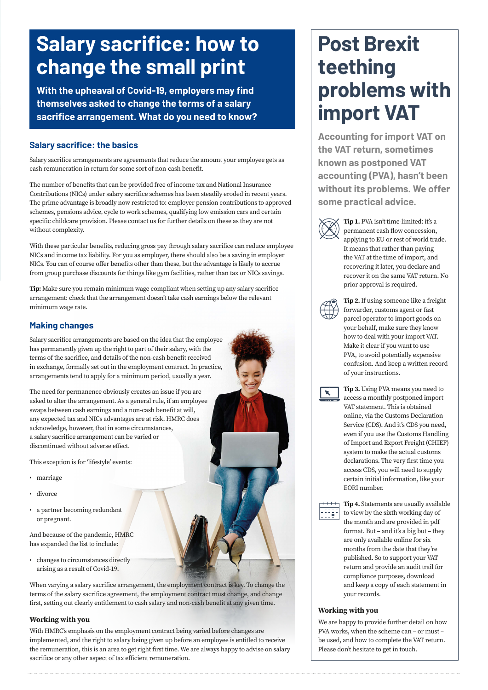# **Salary sacrifice: how to change the small print**

**With the upheaval of Covid-19, employers may find themselves asked to change the terms of a salary sacrifice arrangement. What do you need to know?**

### **Salary sacrifice: the basics**

Salary sacrifice arrangements are agreements that reduce the amount your employee gets as cash remuneration in return for some sort of non-cash benefit.

The number of benefits that can be provided free of income tax and National Insurance Contributions (NICs) under salary sacrifice schemes has been steadily eroded in recent years. The prime advantage is broadly now restricted to: employer pension contributions to approved schemes, pensions advice, cycle to work schemes, qualifying low emission cars and certain specific childcare provision. Please contact us for further details on these as they are not without complexity.

With these particular benefits, reducing gross pay through salary sacrifice can reduce employee NICs and income tax liability. For you as employer, there should also be a saving in employer NICs. You can of course offer benefits other than these, but the advantage is likely to accrue from group purchase discounts for things like gym facilities, rather than tax or NICs savings.

**Tip:** Make sure you remain minimum wage compliant when setting up any salary sacrifice arrangement: check that the arrangement doesn't take cash earnings below the relevant minimum wage rate.

### **Making changes**

Salary sacrifice arrangements are based on the idea that the employee has permanently given up the right to part of their salary, with the terms of the sacrifice, and details of the non-cash benefit received in exchange, formally set out in the employment contract. In practice, arrangements tend to apply for a minimum period, usually a year.

The need for permanence obviously creates an issue if you are asked to alter the arrangement. As a general rule, if an employee swaps between cash earnings and a non-cash benefit at will, any expected tax and NICs advantages are at risk. HMRC does acknowledge, however, that in some circumstances, a salary sacrifice arrangement can be varied or discontinued without adverse effect.

This exception is for 'lifestyle' events:

- marriage
- divorce
- a partner becoming redundant or pregnant.

And because of the pandemic, HMRC has expanded the list to include:

• changes to circumstances directly arising as a result of Covid-19.

When varying a salary sacrifice arrangement, the employment contract is key. To change the terms of the salary sacrifice agreement, the employment contract must change, and change first, setting out clearly entitlement to cash salary and non-cash benefit at any given time.

#### **Working with you**

With HMRC's emphasis on the employment contract being varied before changes are implemented, and the right to salary being given up before an employee is entitled to receive the remuneration, this is an area to get right first time. We are always happy to advise on salary sacrifice or any other aspect of tax efficient remuneration.

# **Post Brexit teething problems with import VAT**

**Accounting for import VAT on the VAT return, sometimes known as postponed VAT accounting (PVA), hasn't been without its problems. We offer some practical advice.**



**Tip 1.** PVA isn't time-limited: it's a permanent cash flow concession, applying to EU or rest of world trade. It means that rather than paying the VAT at the time of import, and recovering it later, you declare and recover it on the same VAT return. No prior approval is required.



**Tip 2.** If using someone like a freight forwarder, customs agent or fast parcel operator to import goods on your behalf, make sure they know how to deal with your import VAT. Make it clear if you want to use PVA, to avoid potentially expensive confusion. And keep a written record of your instructions.



**Tip 3.** Using PVA means you need to access a monthly postponed import VAT statement. This is obtained online, via the Customs Declaration Service (CDS). And it's CDS you need, even if you use the Customs Handling of Import and Export Freight (CHIEF) system to make the actual customs declarations. The very first time you access CDS, you will need to supply certain initial information, like your EORI number.



**Tip 4.** Statements are usually available to view by the sixth working day of the month and are provided in pdf format. But – and it's a big but – they are only available online for six months from the date that they're published. So to support your VAT return and provide an audit trail for compliance purposes, download and keep a copy of each statement in your records.

#### **Working with you**

We are happy to provide further detail on how PVA works, when the scheme can – or must – be used, and how to complete the VAT return. Please don't hesitate to get in touch.